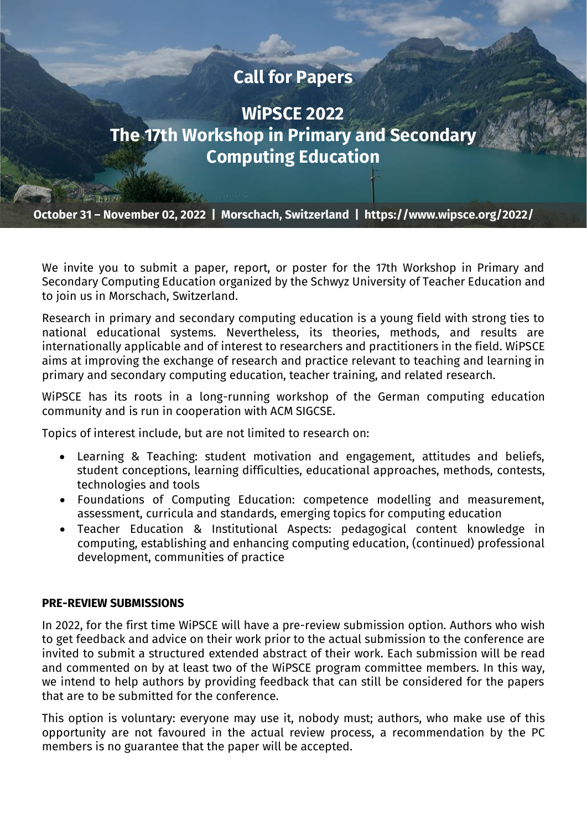# **Call for Papers**

**WiPSCE 2022 The 17th Workshop in Primary and Secondary Computing Education**

**October 31 – November 02, 2022 | Morschach, Switzerland | https://www.wipsce.org/2022/**

We invite you to submit a paper, report, or poster for the 17th Workshop in Primary and Secondary Computing Education organized by the Schwyz University of Teacher Education and to join us in Morschach, Switzerland.

Research in primary and secondary computing education is a young field with strong ties to national educational systems. Nevertheless, its theories, methods, and results are internationally applicable and of interest to researchers and practitioners in the field. WiPSCE aims at improving the exchange of research and practice relevant to teaching and learning in primary and secondary computing education, teacher training, and related research.

WiPSCE has its roots in a long-running workshop of the German computing education community and is run in cooperation with ACM SIGCSE.

Topics of interest include, but are not limited to research on:

- Learning & Teaching: student motivation and engagement, attitudes and beliefs, student conceptions, learning difficulties, educational approaches, methods, contests, technologies and tools
- Foundations of Computing Education: competence modelling and measurement, assessment, curricula and standards, emerging topics for computing education
- Teacher Education & Institutional Aspects: pedagogical content knowledge in computing, establishing and enhancing computing education, (continued) professional development, communities of practice

# **PRE-REVIEW SUBMISSIONS**

In 2022, for the first time WiPSCE will have a pre-review submission option. Authors who wish to get feedback and advice on their work prior to the actual submission to the conference are invited to submit a structured extended abstract of their work. Each submission will be read and commented on by at least two of the WiPSCE program committee members. In this way, we intend to help authors by providing feedback that can still be considered for the papers that are to be submitted for the conference.

This option is voluntary: everyone may use it, nobody must; authors, who make use of this opportunity are not favoured in the actual review process, a recommendation by the PC members is no guarantee that the paper will be accepted.